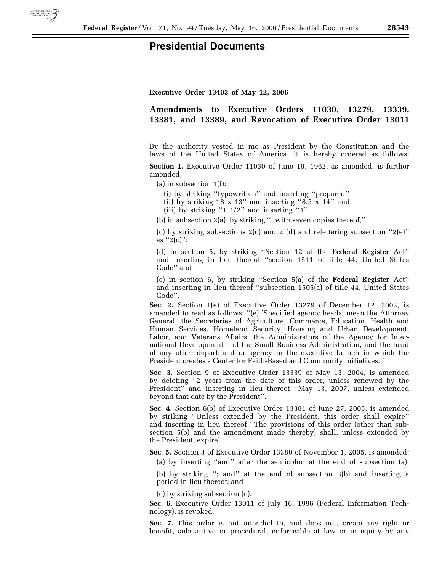

## **Presidential Documents**

**Executive Order 13403 of May 12, 2006** 

## **Amendments to Executive Orders 11030, 13279, 13339, 13381, and 13389, and Revocation of Executive Order 13011**

By the authority vested in me as President by the Constitution and the laws of the United States of America, it is hereby ordered as follows:

**Section 1.** Executive Order 11030 of June 19, 1962, as amended, is further amended;

(a) in subsection 1(f):

(i) by striking ''typewritten'' and inserting ''prepared''

(ii) by striking " $8 \times 13$ " and inserting " $8.5 \times 14$ " and

(iii) by striking ''1 1/2'' and inserting ''1''

(b) in subsection 2(a), by striking '', with seven copies thereof,''

(c) by striking subsections 2(c) and 2 (d) and relettering subsection ''2(e)'' as  $"2(c)"$ ;

(d) in section 5, by striking ''Section 12 of the **Federal Register** Act'' and inserting in lieu thereof ''section 1511 of title 44, United States Code'' and

(e) in section 6, by striking ''Section 5(a) of the **Federal Register** Act'' and inserting in lieu thereof ''subsection 1505(a) of title 44, United States Code''.

**Sec. 2.** Section 1(e) of Executive Order 13279 of December 12, 2002, is amended to read as follows: ''(e) 'Specified agency heads' mean the Attorney General, the Secretaries of Agriculture, Commerce, Education, Health and Human Services, Homeland Security, Housing and Urban Development, Labor, and Veterans Affairs, the Administrators of the Agency for International Development and the Small Business Administration, and the head of any other department or agency in the executive branch in which the President creates a Center for Faith-Based and Community Initiatives.''

**Sec. 3.** Section 9 of Executive Order 13339 of May 13, 2004, is amended by deleting ''2 years from the date of this order, unless renewed by the President'' and inserting in lieu thereof ''May 13, 2007, unless extended beyond that date by the President''.

**Sec. 4.** Section 6(b) of Executive Order 13381 of June 27, 2005, is amended by striking ''Unless extended by the President, this order shall expire'' and inserting in lieu thereof ''The provisions of this order (other than subsection 5(b) and the amendment made thereby) shall, unless extended by the President, expire''.

**Sec. 5.** Section 3 of Executive Order 13389 of November 1, 2005, is amended:

(a) by inserting ''and'' after the semicolon at the end of subsection (a);

(b) by striking ''; and'' at the end of subsection 3(b) and inserting a period in lieu thereof; and

(c) by striking subsection (c).

**Sec. 6.** Executive Order 13011 of July 16, 1996 (Federal Information Technology), is revoked.

**Sec. 7.** This order is not intended to, and does not, create any right or benefit, substantive or procedural, enforceable at law or in equity by any